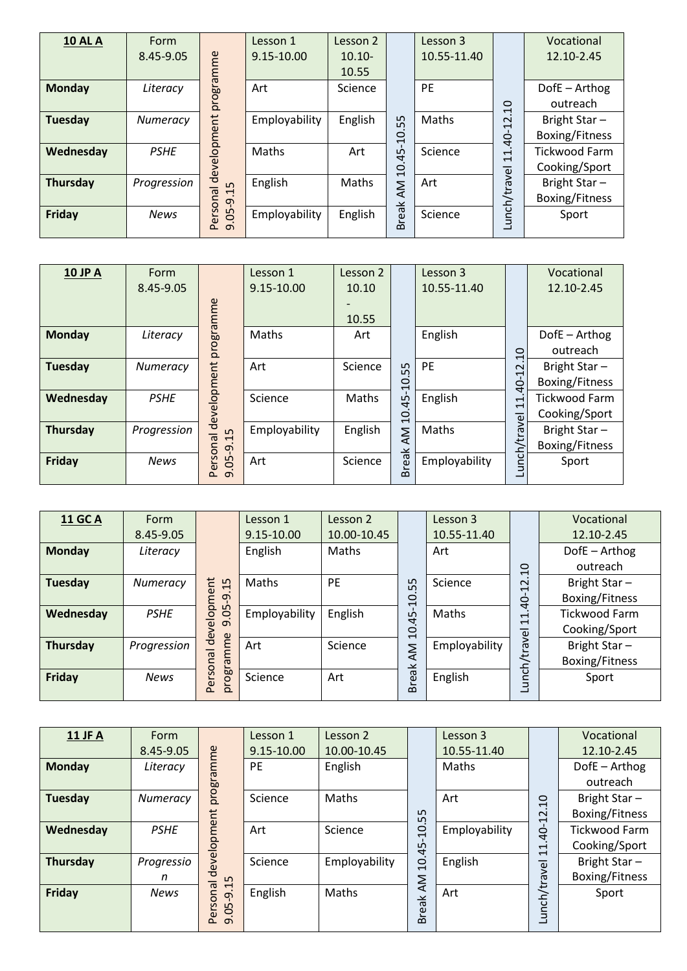| <b>10 AL A</b>  | <b>Form</b> |                                | Lesson 1      | Lesson 2  |                | Lesson 3    |                                                      | Vocational           |
|-----------------|-------------|--------------------------------|---------------|-----------|----------------|-------------|------------------------------------------------------|----------------------|
|                 | 8.45-9.05   |                                | 9.15-10.00    | $10.10 -$ |                | 10.55-11.40 |                                                      | 12.10-2.45           |
|                 |             |                                |               | 10.55     |                |             |                                                      |                      |
| <b>Monday</b>   | Literacy    |                                | Art           | Science   |                | PE          |                                                      | DofE - Arthog        |
|                 |             |                                |               |           |                |             | $\overline{a}$                                       | outreach             |
| Tuesday         | Numeracy    | Personal development programme | Employability | English   | 55             | Maths       | $\sim$<br>$\overline{\phantom{0}}$                   | Bright Star-         |
|                 |             |                                |               |           | $\overline{0}$ |             | $40-$                                                | Boxing/Fitness       |
| Wednesday       | <b>PSHE</b> |                                | Maths         | Art       |                | Science     | $\overline{\phantom{0}}$<br>$\overline{\phantom{0}}$ | <b>Tickwood Farm</b> |
|                 |             |                                |               |           | 10.45          |             |                                                      | Cooking/Sport        |
| <b>Thursday</b> | Progression | S<br>$\overline{\phantom{0}}$  | English       | Maths     | Μ              | Art         |                                                      | Bright Star-         |
|                 |             | $\overline{q}$                 |               |           |                |             | Lunch/travel                                         | Boxing/Fitness       |
| Friday          | <b>News</b> | Ğ.                             | Employability | English   | reak           | Science     |                                                      | Sport                |
|                 |             | $\overline{a}$                 |               |           | മ              |             |                                                      |                      |

| <b>10 JP A</b>  | Form        |                                | Lesson 1      | Lesson 2 |                       | Lesson 3      |                                                      | Vocational           |
|-----------------|-------------|--------------------------------|---------------|----------|-----------------------|---------------|------------------------------------------------------|----------------------|
|                 | 8.45-9.05   |                                | 9.15-10.00    | 10.10    |                       | 10.55-11.40   |                                                      | 12.10-2.45           |
|                 |             |                                |               |          |                       |               |                                                      |                      |
|                 |             |                                |               | 10.55    |                       |               |                                                      |                      |
| <b>Monday</b>   | Literacy    |                                | Maths         | Art      |                       | English       |                                                      | DofE - Arthog        |
|                 |             |                                |               |          |                       |               | $\Omega$                                             | outreach             |
| <b>Tuesday</b>  | Numeracy    |                                | Art           | Science  | 55                    | PE            | $\sim$                                               | Bright Star-         |
|                 |             |                                |               |          | 0<br>$\bar{\text{t}}$ |               | $40 - 1$                                             | Boxing/Fitness       |
| Wednesday       | <b>PSHE</b> |                                | Science       | Maths    | 45                    | English       | $\overline{\phantom{0}}$<br>$\overline{\phantom{0}}$ | <b>Tickwood Farm</b> |
|                 |             |                                |               |          | $\Omega$              |               |                                                      | Cooking/Sport        |
| <b>Thursday</b> | Progression | $\ddot{15}$                    | Employability | English  | Μ                     | Maths         |                                                      | Bright Star-         |
|                 |             | Personal development programme |               |          | ⊻                     |               | Lunch/travel                                         | Boxing/Fitness       |
| Friday          | <b>News</b> | $.05-9.$                       | Art           | Science  | rea                   | Employability |                                                      | Sport                |
|                 |             | $\sigma$                       |               |          | $\Omega$              |               |                                                      |                      |

| <b>11 GC A</b> | Form        |                    | Lesson 1      | Lesson 2                      |          | Lesson 3    |                                                      | Vocational           |
|----------------|-------------|--------------------|---------------|-------------------------------|----------|-------------|------------------------------------------------------|----------------------|
|                | 8.45-9.05   |                    | 9.15-10.00    | 10.00-10.45                   |          | 10.55-11.40 |                                                      | 12.10-2.45           |
| <b>Monday</b>  | Literacy    |                    | English       | Maths                         |          | Art         |                                                      | DofE - Arthog        |
|                |             |                    |               |                               |          |             | $\overline{a}$                                       | outreach             |
| Tuesday        | Numeracy    | ment<br>15         | Maths         | <b>PE</b>                     | 5<br>ഥ   | Science     | $\sim$<br>$\overline{\phantom{0}}$                   | Bright Star-         |
|                |             | $\sigma$           |               |                               | $\Omega$ |             | Ġ                                                    | Boxing/Fitness       |
| Wednesday      | <b>PSHE</b> | $\Omega$<br>G.     | Employability | English                       | 45       | Maths       | $\overline{\phantom{0}}$<br>$\overline{\phantom{0}}$ | <b>Tickwood Farm</b> |
|                |             | develo<br>$\sigma$ |               |                               | $\Omega$ |             |                                                      | Cooking/Sport        |
| Thursday       | Progression | amme               | Art           | Science<br>Employability<br>Μ |          |             | Bright Star-                                         |                      |
|                |             | $\overline{5}$     |               |                               |          |             |                                                      | Boxing/Fitness       |
| Friday         | <b>News</b> | Persor<br>progra   | Science       | Art                           | reak     | English     | Lunch/travel                                         | Sport                |
|                |             |                    |               |                               | മ        |             |                                                      |                      |

| 11 JF A         | Form        |                                       | Lesson 1   | Lesson 2      |                | Lesson 3      |                                                      | Vocational           |
|-----------------|-------------|---------------------------------------|------------|---------------|----------------|---------------|------------------------------------------------------|----------------------|
|                 | 8.45-9.05   |                                       | 9.15-10.00 | 10.00-10.45   |                | 10.55-11.40   |                                                      | 12.10-2.45           |
| Monday          | Literacy    | programme                             | <b>PE</b>  | English       |                | Maths         |                                                      | DofE - Arthog        |
|                 |             |                                       |            |               |                |               |                                                      | outreach             |
| <b>Tuesday</b>  | Numeracy    |                                       | Science    | Maths         |                | Art           | $\Omega$                                             | Bright Star-         |
|                 |             |                                       |            |               | Ln<br>LN       |               | 12                                                   | Boxing/Fitness       |
| Wednesday       | <b>PSHE</b> | evelopment                            | Art        | Science       | $\overline{a}$ | Employability | $\frac{1}{4}$                                        | <b>Tickwood Farm</b> |
|                 |             |                                       |            |               | 45             |               | $\overline{\phantom{0}}$<br>$\overline{\phantom{0}}$ | Cooking/Sport        |
| <b>Thursday</b> | Progressio  |                                       | Science    | Employability | ġ              | English       |                                                      | Bright Star-         |
|                 | n           | ರ<br>Ln                               |            |               | ΚŇ             |               |                                                      | Boxing/Fitness       |
| Friday          | <b>News</b> | $\overline{\phantom{0}}$<br>onal<br>ႁ | English    | Maths         |                | Art           |                                                      | Sport                |
|                 |             | S<br>ഥ<br>ē<br>ݹ                      |            |               | <b>Break</b>   |               | Lunch/travel                                         |                      |
|                 |             | $\sigma$<br>൨                         |            |               |                |               |                                                      |                      |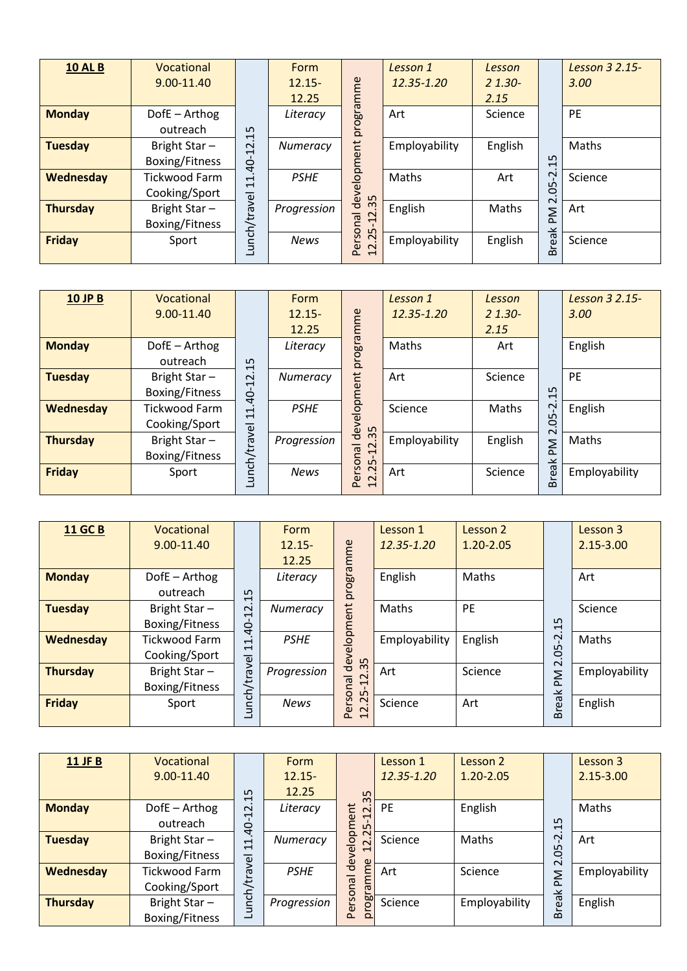| <b>10 AL B</b>  | Vocational<br>9.00-11.40              |                                                        | Form<br>$12.15 -$<br>12.25 |                                                                                        | Lesson 1<br>12.35-1.20 | Lesson<br>$21.30-$<br>2.15 |                                          | Lesson 3 2.15-<br>3.00 |
|-----------------|---------------------------------------|--------------------------------------------------------|----------------------------|----------------------------------------------------------------------------------------|------------------------|----------------------------|------------------------------------------|------------------------|
| <b>Monday</b>   | DofE - Arthog<br>outreach             | Ln<br>$\overline{\phantom{0}}$                         | Literacy                   | programme                                                                              | Art                    | Science                    |                                          | PE                     |
| <b>Tuesday</b>  | Bright Star-<br>Boxing/Fitness        | $\mathbf{\Omega}$<br>$\overline{\phantom{0}}$<br>$40-$ | Numeracy                   |                                                                                        | Employability          | English                    | ഗ<br>$\overline{\phantom{0}}$            | Maths                  |
| Wednesday       | <b>Tickwood Farm</b><br>Cooking/Sport | $\overline{\phantom{0}}$<br>$\overline{\mathbf{t}}$    | <b>PSHE</b>                | development<br>S                                                                       | Maths                  | Art                        | $\mathbf 2$<br>ഗ<br>0                    | Science                |
| <b>Thursday</b> | Bright Star-<br>Boxing/Fitness        | unch/travel                                            | Progression                | $\omega$<br>$\overline{\mathsf{c}}$<br>leu<br>$\overline{\phantom{0}}$<br>$\circ$<br>S | English                | Maths                      | $\sim$<br>Μd<br>$\overline{\phantom{0}}$ | Art                    |
| <b>Friday</b>   | Sport                                 |                                                        | <b>News</b>                | ers<br>2.2<br>$\overline{\phantom{0}}$<br>௳                                            | Employability          | English                    | real<br>$\Omega$                         | Science                |

| <b>10 JP B</b>  | Vocational<br>$9.00 - 11.40$   |                                                                     | Form<br>$12.15 -$ |                                                                          | Lesson 1<br>12.35-1.20 | Lesson<br>$21.30 -$ |                                                     | Lesson 3 2.15-<br>3.00 |
|-----------------|--------------------------------|---------------------------------------------------------------------|-------------------|--------------------------------------------------------------------------|------------------------|---------------------|-----------------------------------------------------|------------------------|
|                 |                                |                                                                     | 12.25             |                                                                          |                        | 2.15                |                                                     |                        |
| <b>Monday</b>   | DofE - Arthog<br>outreach      | 15                                                                  | Literacy          | programme                                                                | Maths                  | Art                 |                                                     | English                |
| <b>Tuesday</b>  | Bright Star-<br>Boxing/Fitness | $\mathbf{\Omega}$<br>$\overline{\phantom{0}}$<br>$-0+$              | Numeracy          |                                                                          | Art                    | Science             | 15                                                  | <b>PE</b>              |
| Wednesday       | Tickwood Farm<br>Cooking/Sport | $\overline{\phantom{0}}$<br>$\mathbf{\mathbf{\mathbf{\mathsf{H}}}}$ | <b>PSHE</b>       | development                                                              | Science                | Maths               | Ņ<br>50                                             | English                |
| <b>Thursday</b> | Bright Star-<br>Boxing/Fitness | Lunch/travel                                                        | Progression       | 35<br>$\overline{c}$<br>leu<br>L                                         | Employability          | English             | $\sim$<br>Σ<br>$\Omega$<br>$\overline{\phantom{1}}$ | Maths                  |
| <b>Friday</b>   | Sport                          |                                                                     | <b>News</b>       | S <sub>O</sub><br>$\sim$<br>မ်<br>$\sim$<br>௨<br>$\mathbf{\overline{d}}$ | Art                    | <b>Science</b>      | rea<br>$\sim$                                       | Employability          |

| <b>11 GC B</b>  | Vocational<br>9.00-11.40       |                                                                     | Form<br>$12.15 -$<br>12.25 |                                                     | Lesson 1<br>12.35-1.20 | Lesson 2<br>$1.20 - 2.05$ |                               | Lesson 3<br>$2.15 - 3.00$ |
|-----------------|--------------------------------|---------------------------------------------------------------------|----------------------------|-----------------------------------------------------|------------------------|---------------------------|-------------------------------|---------------------------|
| <b>Monday</b>   | DofE - Arthog<br>outreach      | LN.<br>$\overline{\phantom{0}}$                                     | Literacy                   | programme                                           | English                | Maths                     |                               | Art                       |
| <b>Tuesday</b>  | Bright Star-<br>Boxing/Fitness | $\sim$<br>$\overline{\phantom{0}}$<br>Ġ                             | Numeracy                   | $\overline{a}$                                      | Maths                  | PE                        | ഗ<br>$\overline{\phantom{0}}$ | Science                   |
| Wednesday       | Tickwood Farm<br>Cooking/Sport | $\overline{\phantom{0}}$<br>$\mathbf{\mathbf{\mathbf{\mathsf{H}}}}$ | <b>PSHE</b>                | elopme<br>dev.                                      | Employability          | English                   | Ņ<br>L<br>ë                   | Maths                     |
| <b>Thursday</b> | Bright Star-<br>Boxing/Fitness | unch/travel                                                         | Progression                | 35<br>$\overline{2}$<br>leu<br>L                    | Art                    | Science                   | $\sim$<br>Μ                   | Employability             |
| <b>Friday</b>   | Sport                          |                                                                     | <b>News</b>                | ersoi<br>2.2<br>൨<br>$\mathbf{\mathbf{\mathsf{H}}}$ | Science                | Art                       | real<br>$\Omega$              | English                   |

| <b>11 JF B</b>  | Vocational<br>9.00-11.40 |                                                                                 | Form<br>$12.15 -$ |                                                            | Lesson 1<br>12.35-1.20 | Lesson 2<br>$1.20 - 2.05$ |              | Lesson 3<br>$2.15 - 3.00$ |
|-----------------|--------------------------|---------------------------------------------------------------------------------|-------------------|------------------------------------------------------------|------------------------|---------------------------|--------------|---------------------------|
|                 |                          | ഗ<br>$\mathbf{\mathbf{\mathbf{\mathbf{\mathbf{\mathbf{\mathbf{\mathbf{H}}}}}}}$ | 12.25             | 35                                                         |                        |                           |              |                           |
| <b>Monday</b>   | DofE - Arthog            | 2 <sup>1</sup>                                                                  | Literacy          | t<br>$\sim$<br>$\overline{\phantom{0}}$                    | <b>PE</b>              | English                   |              | Maths                     |
|                 | outreach                 | Q                                                                               |                   | lopme<br>L                                                 |                        |                           | 15           |                           |
| <b>Tuesday</b>  | Bright Star-             | $\mathbf{\mathbf{\mathsf{H}}}$<br>$\overline{\phantom{0}}$                      | Numeracy          | $\overline{\mathsf{N}}$<br>$\sim$                          | Science                | Maths                     | Ņ            | Art                       |
|                 | Boxing/Fitness           | <b>yel</b>                                                                      |                   | $\omega$<br>$\mathbf{\mathbf{\mathbf{\mathsf{H}}}}$<br>dev |                        |                           | 05<br>$\sim$ |                           |
| Wednesday       | <b>Tickwood Farm</b>     | ō                                                                               | <b>PSHE</b>       | mme                                                        | Art                    | Science                   | <b>Nd</b>    | Employability             |
|                 | Cooking/Sport            |                                                                                 |                   | <b>D</b>                                                   |                        |                           |              |                           |
| <b>Thursday</b> | Bright Star-             | unch/t                                                                          | Progression       | ersonal<br>rog                                             | Science                | Employability             | <b>Break</b> | English                   |
|                 | Boxing/Fitness           | ┙                                                                               |                   | $\Omega$<br>$\Omega$                                       |                        |                           |              |                           |